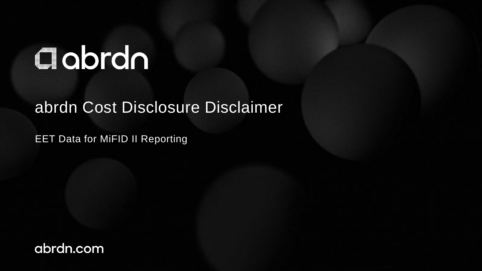## Clobrdn

## abrdn Cost Disclosure Disclaimer

EET Data for MiFID II Reporting

abrdn.com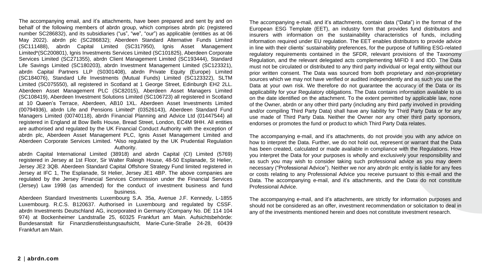The accompanying email, and it's attachments, have been prepared and sent by and on behalf of the following members of abrdn group, which comprises abrdn plc (registered number SC286832), and its subsidiaries ("us", "we", "our") as applicable (entities as at 06 May 2022). abrdn plc (SC286832); Aberdeen Standard Alternative Funds Limited (SC111488), abrdn Capital Limited (SC317950), Ignis Asset Management Limited\*(SC200801), Ignis Investments Services Limited (SC101825), Aberdeen Corporate Services Limited (SC271355), abrdn Client Management Limited (SC193444), Standard Life Savings Limited (SC180203), abrdn Investment Management Limited (SC123321), abrdn Capital Partners LLP (S0301408), abrdn Private Equity (Europe) Limited (SC184076), Standard Life Investments (Mutual Funds) Limited (SC123322), SLTM Limited (SC075550), all registered in Scotland at 1 George Street, Edinburgh EH2 2LL. Aberdeen Asset Management PLC (SC82015), Aberdeen Asset Managers Limited (SC108419), Aberdeen Investment Solutions Limited (SC106723) all registered in Scotland at 10 Queen's Terrace, Aberdeen, AB10 1XL. Aberdeen Asset Investments Limited (00794936), abrdn Life and Pensions Limited\* (03526143), Aberdeen Standard Fund Managers Limited (00740118), abrdn Financial Planning and Advice Ltd (01447544) all registered in England at Bow Bells House, Bread Street, London, EC4M 9HH. All entities are authorised and regulated by the UK Financial Conduct Authority with the exception of abrdn plc, Aberdeen Asset Management PLC, Ignis Asset Management Limited and Aberdeen Corporate Services Limited. \*Also regulated by the UK Prudential Regulation Authority.

abrdn Capital International Limited (38918) and abrdn Capital (CI) Limited (5769) registered in Jersey at 1st Floor, Sir Walter Raleigh House, 48-50 Esplanade, St Helier, Jersey JE2 3QB. Aberdeen Standard Capital Offshore Strategy Fund limited registered in Jersey at IFC 1, The Esplanade, St Helier, Jersey JE1 4BP. The above companies are regulated by the Jersey Financial Services Commission under the Financial Services (Jersey) Law 1998 (as amended) for the conduct of investment business and fund business.

Aberdeen Standard Investments Luxembourg S.A. 35a, Avenue J.F. Kennedy, L-1855 Luxembourg. R.C.S. B120637. Authorised in Luxembourg and regulated by CSSF. abrdn Investments Deutschland AG, incorporated in Germany (Company No. DE 114 104 974) at Bockenheimer Landstraße 25, 60325 Frankfurt am Main. Aufsichtsbehörde: Bundesanstalt für Finanzdienstleistungsaufsicht, Marie-Curie-Straße 24-28, 60439 Frankfurt am Main.

The accompanying e-mail, and it's attachments, contain data ("Data") in the format of the European ESG Template (EET), an industry form that provides fund distributors and insurers with information on the sustainability characteristics of funds, including information required under EU regulation. The EET enables distributors to provide advice in line with their clients' sustainability preferences, for the purpose of fulfilling ESG-related regulatory requirements contained in the SFDR, relevant provisions of the Taxonomy Regulation, and the relevant delegated acts complementing MiFID II and IDD. The Data must not be circulated or distributed to any third party individual or legal entity without our prior written consent. The Data was sourced from both proprietary and non-proprietary sources which we may not have verified or audited independently and as such you use the Data at your own risk. We therefore do not guarantee the accuracy of the Data or its applicability for your Regulatory obligations. The Data contains information available to us on the date identified on the attachment. To the extent permitted by applicable law, none of the Owner, abrdn or any other third party (including any third party involved in providing and/or compiling Third Party Data) shall have any liability for Third Party Data or for any use made of Third Party Data. Neither the Owner nor any other third party sponsors, endorses or promotes the fund or product to which Third Party Data relates.

The accompanying e-mail, and it's attachments, do not provide you with any advice on how to interpret the Data. Further, we do not hold out, represent or warrant that the Data has been created, calculated or made available in compliance with the Regulations. How you interpret the Data for your purposes is wholly and exclusively your responsibility and as such you may wish to consider taking such professional advice as you may deem necessary ("Professional Advice"). Neither we nor any abrdn plc entity is liable for any fees or costs relating to any Professional Advice you receive pursuant to this e-mail and the Data. The accompanying e-mail, and it's attachments, and the Data do not constitute Professional Advice.

The accompanying e-mail, and it's attachments, are strictly for information purposes and should not be considered as an offer, investment recommendation or solicitation to deal in any of the investments mentioned herein and does not constitute investment research.